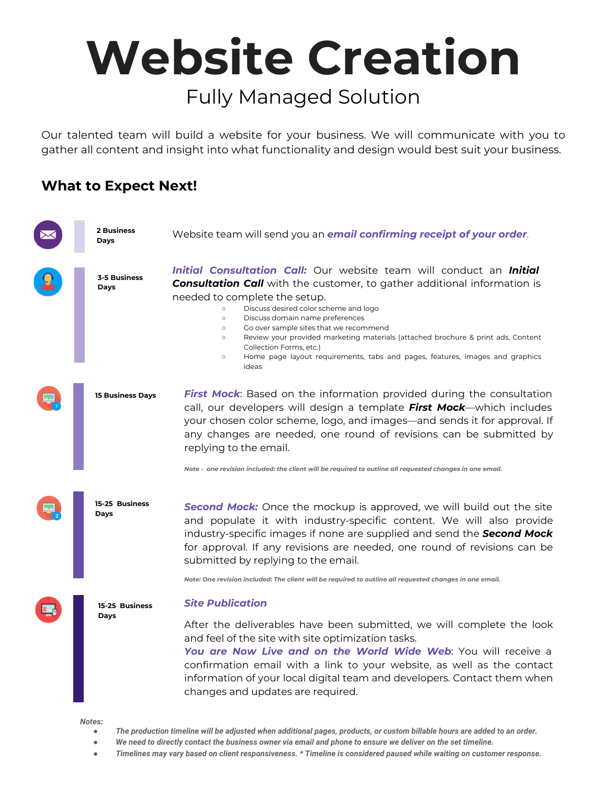## **Website Creation** Fully Managed Solution

Our talented team will build a website for your business. We will communicate with you to gather all content and insight into what functionality and design would best suit your business.

#### **What to Expect Next!**



- *● We need to directly contact the business owner via email and phone to ensure we deliver on the set timeline.*
- *● Timelines may vary based on client responsiveness. \* Timeline is considered paused while waiting on customer response.*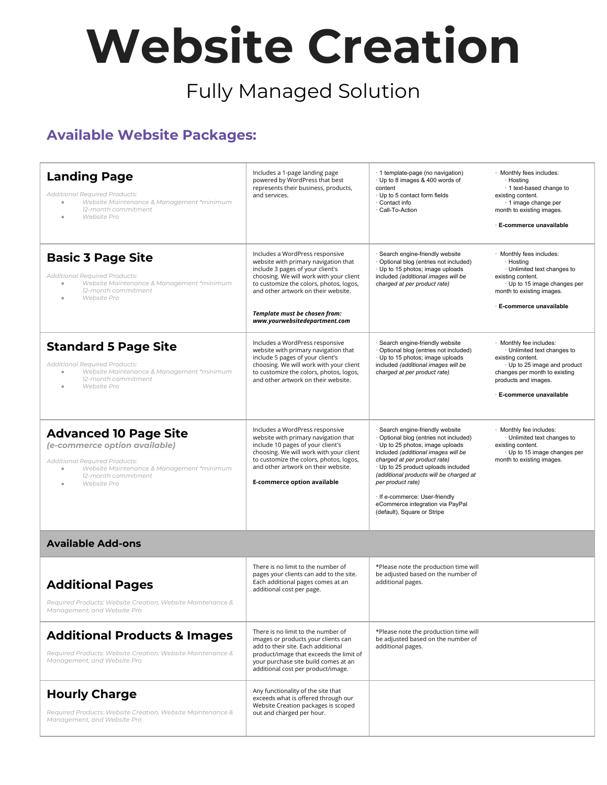# **Website Creation**

### Fully Managed Solution

#### **Available Website Packages:**

| <b>Landing Page</b><br><b>Additional Required Products:</b><br>Website Maintenance & Management *minimum<br>$\qquad \qquad \bullet$<br>12-month commitment<br>Website Pro                          | Includes a 1-page landing page<br>powered by WordPress that best<br>represents their business, products,<br>and services.                                                                                                                                                                                  | · 1 template-page (no navigation)<br>· Up to 8 images & 400 words of<br>content<br>· Up to 5 contact form fields<br>· Contact info<br>· Call-To-Action                                                                                                                                                                                                                                            | · Monthly fees includes:<br>· Hosting<br>1 text-based change to<br>existing content.<br>· 1 image change per<br>month to existing images.<br>· E-commerce unavailable                                 |
|----------------------------------------------------------------------------------------------------------------------------------------------------------------------------------------------------|------------------------------------------------------------------------------------------------------------------------------------------------------------------------------------------------------------------------------------------------------------------------------------------------------------|---------------------------------------------------------------------------------------------------------------------------------------------------------------------------------------------------------------------------------------------------------------------------------------------------------------------------------------------------------------------------------------------------|-------------------------------------------------------------------------------------------------------------------------------------------------------------------------------------------------------|
| <b>Basic 3 Page Site</b><br>Additional Required Products:<br>Website Maintenance & Management *minimum<br>12-month commitment<br>Website Pro                                                       | Includes a WordPress responsive<br>website with primary navigation that<br>include 3 pages of your client's<br>choosing. We will work with your client<br>to customize the colors, photos, logos,<br>and other artwork on their website.<br>Template must be chosen from:<br>www.yourwebsitedepartment.com | · Search engine-friendly website<br>· Optional blog (entries not included)<br>· Up to 15 photos; image uploads<br>included (additional images will be<br>charged at per product rate)                                                                                                                                                                                                             | · Monthly fees includes:<br>· Hosting<br>· Unlimited text changes to<br>existing content.<br>· Up to 15 image changes per<br>month to existing images.<br>E-commerce unavailable                      |
| <b>Standard 5 Page Site</b><br><b>Additional Required Products:</b><br>Website Maintenance & Management *minimum<br>$\Phi$<br>12-month commitment<br>Website Pro                                   | Includes a WordPress responsive<br>website with primary navigation that<br>include 5 pages of your client's<br>choosing. We will work with your client<br>to customize the colors, photos, logos,<br>and other artwork on their website.                                                                   | · Search engine-friendly website<br>· Optional blog (entries not included)<br>· Up to 15 photos; image uploads<br>included (additional images will be<br>charged at per product rate)                                                                                                                                                                                                             | · Monthly fee includes:<br>· Unlimited text changes to<br>existing content.<br>· Up to 25 image and product<br>changes per month to existing<br>products and images.<br><b>E-commerce unavailable</b> |
| <b>Advanced 10 Page Site</b><br>(e-commerce option available)<br><b>Additional Required Products:</b><br>Website Maintenance & Management *minimum<br>$\Phi$<br>12-month commitment<br>Website Pro | Includes a WordPress responsive<br>website with primary navigation that<br>include 10 pages of your client's<br>choosing. We will work with your client<br>to customize the colors, photos, logos,<br>and other artwork on their website.<br><b>E-commerce option available</b>                            | · Search engine-friendly website<br>· Optional blog (entries not included)<br>· Up to 25 photos; image uploads<br>included (additional images will be<br>charged at per product rate)<br>· Up to 25 product uploads included<br>(additional products will be charged at<br>per product rate)<br>· If e-commerce: User-friendly<br>eCommerce integration via PayPal<br>(default), Square or Stripe | · Monthly fee includes:<br>· Unlimited text changes to<br>existing content.<br>· Up to 15 image changes per<br>month to existing images.                                                              |
| <b>Available Add-ons</b>                                                                                                                                                                           |                                                                                                                                                                                                                                                                                                            |                                                                                                                                                                                                                                                                                                                                                                                                   |                                                                                                                                                                                                       |
| <b>Additional Pages</b><br>Required Products: Website Creation, Website Maintenance &<br>Management, and Website Pro                                                                               | There is no limit to the number of<br>pages your clients can add to the site.<br>Each additional pages comes at an<br>additional cost per page.                                                                                                                                                            | *Please note the production time will<br>be adjusted based on the number of<br>additional pages.                                                                                                                                                                                                                                                                                                  |                                                                                                                                                                                                       |
| <b>Additional Products &amp; Images</b><br>Required Products: Website Creation, Website Maintenance &<br>Management, and Website Pro                                                               | There is no limit to the number of<br>images or products your clients can<br>add to their site. Each additional<br>product/image that exceeds the limit of<br>your purchase site build comes at an<br>additional cost per product/image.                                                                   | *Please note the production time will<br>be adjusted based on the number of<br>additional pages.                                                                                                                                                                                                                                                                                                  |                                                                                                                                                                                                       |
| <b>Hourly Charge</b><br>Required Products: Website Creation, Website Maintenance &<br>Management, and Website Pro                                                                                  | Any functionality of the site that<br>exceeds what is offered through our<br>Website Creation packages is scoped<br>out and charged per hour.                                                                                                                                                              |                                                                                                                                                                                                                                                                                                                                                                                                   |                                                                                                                                                                                                       |